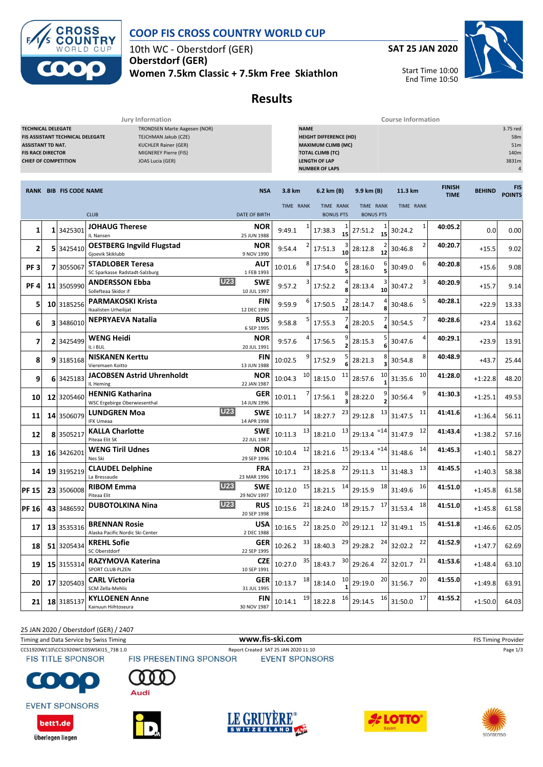

#### **COOP FIS CROSS COUNTRY WORLD CUP**

10th WC - Oberstdorf (GER) **Oberstdorf (GER)**

**Women 7.5km Classic + 7.5km Free Skiathlon**





Start Time 10:00 End Time 10:50

# **Results**

**Jury Information Course Information**

| <b>TECHNICAL DELEGATE</b><br>TRONDSEN Marte Aagesen (NOR)<br><b>FIS ASSISTANT TECHNICAL DELEGATE</b><br>TEJCHMAN Jakub (CZE)<br><b>KUCHLER Rainer (GER)</b><br><b>ASSISTANT TD NAT.</b><br>MIGNEREY Pierre (FIS)<br><b>FIS RACE DIRECTOR</b><br><b>CHIEF OF COMPETITION</b><br>JOAS Lucia (GER) |  |                               |                                                             |                           | <b>NAME</b>   | <b>HEIGHT DIFFERENCE (HD)</b><br><b>MAXIMUM CLIMB (MC)</b><br><b>TOTAL CLIMB (TC)</b><br><b>LENGTH OF LAP</b><br><b>NUMBER OF LAPS</b> |                               |                                |               |                              | 3.75 red<br>58m<br>51m<br>140m<br>3831m<br>$\overline{4}$ |                      |
|-------------------------------------------------------------------------------------------------------------------------------------------------------------------------------------------------------------------------------------------------------------------------------------------------|--|-------------------------------|-------------------------------------------------------------|---------------------------|---------------|----------------------------------------------------------------------------------------------------------------------------------------|-------------------------------|--------------------------------|---------------|------------------------------|-----------------------------------------------------------|----------------------|
|                                                                                                                                                                                                                                                                                                 |  | <b>RANK BIB FIS CODE NAME</b> |                                                             | <b>NSA</b>                | 3.8 km        |                                                                                                                                        | 6.2 km (B)                    | 9.9 km (B)                     | 11.3 km       | <b>FINISH</b><br><b>TIME</b> | <b>BEHIND</b>                                             | FIS<br><b>POINTS</b> |
|                                                                                                                                                                                                                                                                                                 |  |                               | <b>CLUB</b>                                                 | <b>DATE OF BIRTH</b>      | TIME RANK     |                                                                                                                                        | TIME RANK<br><b>BONUS PTS</b> | TIME RANK<br><b>BONUS PTS</b>  | TIME RANK     |                              |                                                           |                      |
| 1                                                                                                                                                                                                                                                                                               |  | 1 3425301                     | <b>JOHAUG Therese</b><br>IL Nansen                          | NOR<br>25 JUN 1988        | 9:49.1        |                                                                                                                                        | 17:38.3                       | 27:51.2<br>15<br>15            | 1<br>30:24.2  | 40:05.2                      | 0.0                                                       | 0.00                 |
| 2                                                                                                                                                                                                                                                                                               |  | 5 3425410                     | <b>OESTBERG Ingvild Flugstad</b><br>Gjoevik Skiklubb        | NOR<br>9 NOV 1990         | 9:54.4        |                                                                                                                                        | 17:51.3                       | 28:12.8<br>10<br>12            | 2<br>30:46.8  | 40:20.7                      | $+15.5$                                                   | 9.02                 |
| PF <sub>3</sub>                                                                                                                                                                                                                                                                                 |  | 7 3055067                     | <b>STADLOBER Teresa</b><br>SC Sparkasse Radstadt-Salzburg   | AUT<br>1 FEB 1993         | 10:01.6       |                                                                                                                                        | 17:54.0                       | 28:16.0                        | 6<br>30:49.0  | 40:20.8                      | $+15.6$                                                   | 9.08                 |
| PF <sub>4</sub>                                                                                                                                                                                                                                                                                 |  | 11 3505990                    | <b>U23</b><br><b>ANDERSSON Ebba</b><br>Sollefteaa Skidor if | SWE<br>10 JUL 1997        | 9:57.2        |                                                                                                                                        | 17:52.2                       | 28:13.4<br>10                  | 3<br>30:47.2  | 40:20.9                      | $+15.7$                                                   | 9.14                 |
| 5                                                                                                                                                                                                                                                                                               |  | 10 3185256                    | <b>PARMAKOSKI Krista</b><br>Ikaalisten Urheilijat           | <b>FIN</b><br>12 DEC 1990 | 9:59.9        |                                                                                                                                        | 17:50.5                       | 28:14.7<br>12                  | 5<br>30:48.6  | 40:28.1                      | $+22.9$                                                   | 13.33                |
| 6                                                                                                                                                                                                                                                                                               |  | 3 3486010                     | <b>NEPRYAEVA Natalia</b>                                    | RUS<br>6 SEP 1995         | 9:58.8        |                                                                                                                                        | 17:55.3                       | 28:20.5                        | 7<br>30:54.5  | 40:28.6                      | $+23.4$                                                   | 13.62                |
| 7                                                                                                                                                                                                                                                                                               |  | 2 3425499                     | <b>WENG Heidi</b><br>IL i BUL                               | NOR<br>20 JUL 1991        | 9:57.6        |                                                                                                                                        | 17:56.5                       | 28:15.3                        | 4<br>30:47.6  | 40:29.1                      | $+23.9$                                                   | 13.91                |
| 8                                                                                                                                                                                                                                                                                               |  | 9 3185168                     | <b>NISKANEN Kerttu</b><br>Vieremaen Koitto                  | FIN<br>13 JUN 1988        | 10:02.5       |                                                                                                                                        | 17:52.9                       | 28:21.3                        | 8<br>30:54.8  | 40:48.9                      | $+43.7$                                                   | 25.44                |
| 9                                                                                                                                                                                                                                                                                               |  | 6 3425183                     | <b>JACOBSEN Astrid Uhrenholdt</b><br>IL Heming              | <b>NOR</b><br>22 JAN 1987 | 10:04.3       | 10                                                                                                                                     | 18:15.0                       | 11<br>10<br>28:57.6            | 10<br>31:35.6 | 41:28.0                      | $+1:22.8$                                                 | 48.20                |
| 10                                                                                                                                                                                                                                                                                              |  | 12 3205460                    | <b>HENNIG Katharina</b><br>WSC Ergebirge Oberwiesenthal     | GER<br>14 JUN 1996        | 10:01.1       |                                                                                                                                        | 17:56.1                       | 28:22.0                        | 9<br>30:56.4  | 41:30.3                      | $+1:25.1$                                                 | 49.53                |
| 11                                                                                                                                                                                                                                                                                              |  | 14 3506079                    | <b>U23</b><br><b>LUNDGREN Moa</b><br><b>IFK Umeaa</b>       | SWE<br>14 APR 1998        | 10:11.7       | 14                                                                                                                                     | 18:27.7                       | 23<br>13<br>29:12.8            | 11<br>31:47.5 | 41:41.6                      | $+1:36.4$                                                 | 56.11                |
| 12                                                                                                                                                                                                                                                                                              |  | 8 3505217                     | <b>KALLA Charlotte</b><br>Piteaa Elit SK                    | SWE<br>22 JUL 1987        | 10:11.3       | 13                                                                                                                                     | 18:21.0                       | 13<br>$29:13.4$ <sup>=14</sup> | 12<br>31:47.9 | 41:43.4                      | $+1:38.2$                                                 | 57.16                |
| 13                                                                                                                                                                                                                                                                                              |  | 16 3426201                    | <b>WENG Tiril Udnes</b><br>Nes Ski                          | <b>NOR</b><br>29 SEP 1996 | 10:10.4       | 12                                                                                                                                     | 18:21.6                       | 15<br>$=14$<br>29:13.4         | 14<br>31:48.6 | 41:45.3                      | $+1:40.1$                                                 | 58.27                |
| 14                                                                                                                                                                                                                                                                                              |  | 19 3195219                    | <b>CLAUDEL Delphine</b><br>La Bressaude                     | <b>FRA</b><br>23 MAR 1996 | 10:17.1       | 23                                                                                                                                     | 18:25.8                       | 22<br>11<br>29:11.3            | 13<br>31:48.3 | 41:45.5                      | $+1:40.3$                                                 | 58.38                |
| <b>PF 15</b>                                                                                                                                                                                                                                                                                    |  | 23 3506008                    | <b>U23</b><br><b>RIBOM Emma</b><br>Piteaa Elit              | SWE<br>29 NOV 1997        | 10:12.0       | 15                                                                                                                                     | 18:21.5                       | 14<br>18<br>29:15.9            | 16<br>31:49.6 | 41:51.0                      | $+1:45.8$                                                 | 61.58                |
| <b>PF 16</b>                                                                                                                                                                                                                                                                                    |  | 43 3486592                    | <b>U23</b><br><b>DUBOTOLKINA Nina</b>                       | RUS<br>20 SEP 1998        | 10:15.6       | 21                                                                                                                                     | 18:24.0                       | 18<br>17<br>29:15.7            | 18<br>31:53.4 | 41:51.0                      | $+1:45.8$                                                 | 61.58                |
| 17                                                                                                                                                                                                                                                                                              |  | 13 3535316                    | <b>BRENNAN Rosie</b><br>Alaska Pacific Nordic Ski Center    | USA<br>2 DEC 1988         | 10:16.5       | 22                                                                                                                                     | 18:25.0                       | 20<br>12<br>29:12.1            | 15<br>31:49.1 | 41:51.8                      | $+1:46.6$                                                 | 62.05                |
| 18                                                                                                                                                                                                                                                                                              |  | 51 3205434                    | <b>KREHL Sofie</b><br>SC Oberstdorf                         | 22 SEP 1995               | $GER$ 10:26.2 | 33                                                                                                                                     | 18:40.3                       | 29<br>24<br>29:28.2            | 22<br>32:02.2 | 41:52.9                      | $+1:47.7$                                                 | 62.69                |
| 19                                                                                                                                                                                                                                                                                              |  | 15 3155314                    | RAZYMOVA Katerina<br>SPORT CLUB PLZEN                       | <b>CZE</b><br>10 SEP 1991 | 10:27.0       | 35                                                                                                                                     | 18:43.7                       | 30<br>22<br>29:26.4            | 21<br>32:01.7 | 41:53.6                      | $+1:48.4$                                                 | 63.10                |
| 201                                                                                                                                                                                                                                                                                             |  | 17 3205403                    | <b>CARL Victoria</b><br>SCM Zella-Mehlis                    | <b>GER</b><br>31 JUL 1995 | 10:13.7       | 18                                                                                                                                     | 18:14.0                       | 20<br>10<br>29:19.0            | 20<br>31:56.7 | 41:55.0                      | $+1:49.8$                                                 | 63.91                |
| 21                                                                                                                                                                                                                                                                                              |  | 18 3185137                    | <b>KYLLOENEN Anne</b><br>Kainuun Hiihtoseura                | FIN<br>30 NOV 1987        | 10:14.1       | 19                                                                                                                                     | 18:22.8                       | 16<br>16<br>29:14.5            | 17<br>31:50.0 | 41:55.2                      | $+1:50.0$                                                 | 64.03                |

25 JAN 2020 / Oberstdorf (GER) / 2407

Timing and Data Service by Swiss Timing **WWW.fis-Ski.com www.fis-ski.com** FIS Timing Provider

CCS1920WC10\CCS1920WC10SWSKI15\_73B 1.0 Report Created SAT 25 JAN 2020 11:10 Page 1/3<br>FIS TITLE SPONSOR FIS PRESENTING SPONSOR EVENT SPONSORS

**FIS TITLE SPONSOR** 

 $\bullet$ 

bett1.de

Überlegen liegen



**EVENT SPONSORS** 







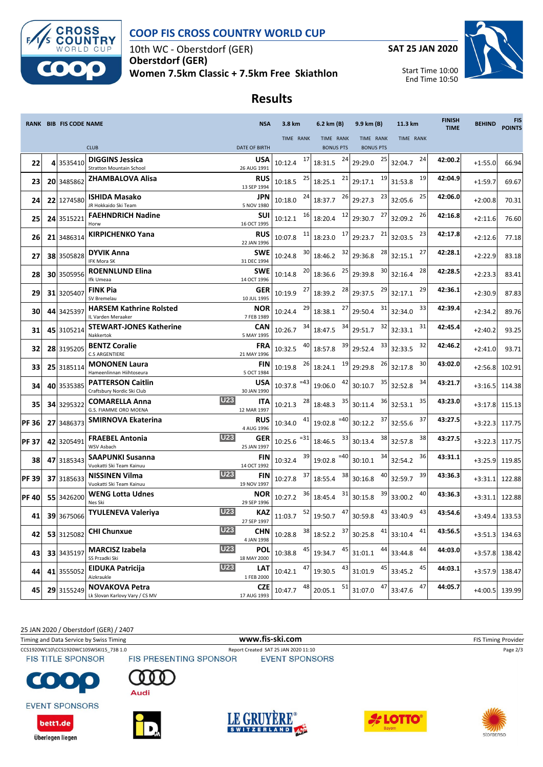

# **COOP FIS CROSS COUNTRY WORLD CUP**

10th WC - Oberstdorf (GER) **Oberstdorf (GER) Women 7.5km Classic + 7.5km Free Skiathlon**



# **Results**

|              | RANK BIB FIS CODE NAME |                                                           |            | <b>NSA</b>                | 3.8 km                   |        | 6.2 km (B)                                                                    | 9.9 km (B)                    | 11.3 km            | <b>FINISH</b><br><b>TIME</b> | <b>BEHIND</b> | <b>FIS</b><br><b>POINTS</b> |
|--------------|------------------------|-----------------------------------------------------------|------------|---------------------------|--------------------------|--------|-------------------------------------------------------------------------------|-------------------------------|--------------------|------------------------------|---------------|-----------------------------|
|              |                        | <b>CLUB</b>                                               |            | <b>DATE OF BIRTH</b>      | <b>TIME RANK</b>         |        | TIME RANK<br><b>BONUS PTS</b>                                                 | TIME RANK<br><b>BONUS PTS</b> | TIME RANK          |                              |               |                             |
| 22           | 4 3535410              | <b>DIGGINS Jessica</b><br><b>Stratton Mountain School</b> |            | <b>USA</b><br>26 AUG 1991 | 10:12.4                  | 17     | 24<br>18:31.5                                                                 | 25<br>29:29.0                 | 24<br>32:04.7      | 42:00.2                      | $+1:55.0$     | 66.94                       |
| 23           | 20 3485862             | ZHAMBALOVA Alisa                                          |            | <b>RUS</b><br>13 SEP 1994 | 10:18.5                  | 25     | 21<br>18:25.1                                                                 | 19<br>29:17.1                 | 19<br>31:53.8      | 42:04.9                      | $+1:59.7$     | 69.67                       |
| 24           | 22 1274580             | <b>ISHIDA Masako</b><br>JR Hokkaido Ski Team              |            | <b>JPN</b><br>5 NOV 1980  | 10:18.0                  | 24     | 26<br>18:37.7                                                                 | 23<br>29:27.3                 | 25<br>32:05.6      | 42:06.0                      | $+2:00.8$     | 70.31                       |
| 25           | 24 3515221             | <b>FAEHNDRICH Nadine</b><br>Horw                          |            | <b>SUI</b><br>16 OCT 1995 | 10:12.1                  | 16     | 12<br>18:20.4                                                                 | 27<br>29:30.7                 | 26<br>32:09.2      | 42:16.8                      | $+2:11.6$     | 76.60                       |
| 26           | 21 3486314             | <b>KIRPICHENKO Yana</b>                                   |            | <b>RUS</b><br>22 JAN 1996 | 10:07.8                  | 11     | 17<br>18:23.0                                                                 | 21<br>29:23.7                 | 23<br>32:03.5      | 42:17.8                      | $+2:12.6$     | 77.18                       |
| 27           | 38 3505828             | <b>DYVIK Anna</b><br>IFK Mora SK                          |            | <b>SWE</b><br>31 DEC 1994 | 10:24.8                  | 30     | 32<br>18:46.2                                                                 | 28<br>29:36.8                 | 27<br>32:15.1      | 42:28.1                      | $+2:22.9$     | 83.18                       |
| 28           | 30 3505956             | <b>ROENNLUND Elina</b><br>Ifk Umeaa                       |            | <b>SWE</b><br>14 OCT 1996 | 10:14.8                  | 20     | 25<br>18:36.6                                                                 | 30<br>29:39.8                 | 28<br>32:16.4      | 42:28.5                      | $+2:23.3$     | 83.41                       |
| 29           | 31 3205407             | <b>FINK Pia</b><br>SV Bremelau                            |            | <b>GER</b><br>10 JUL 1995 | 10:19.9                  | 27     | 28<br>18:39.2                                                                 | 29<br>29:37.5                 | 29<br>32:17.1      | 42:36.1                      | $+2:30.9$     | 87.83                       |
| 30           | 44 3425397             | <b>HARSEM Kathrine Rolsted</b><br>IL Varden Meraaker      |            | <b>NOR</b><br>7 FEB 1989  | 10:24.4                  | 29     | 27<br>18:38.1                                                                 | 31<br>29:50.4                 | 33<br>32:34.0      | 42:39.4                      | $+2:34.2$     | 89.76                       |
| 31           | 45 3105214             | <b>STEWART-JONES Katherine</b><br>Nakkertok               |            | CAN<br>5 MAY 1995         | 10:26.7                  | 34     | 34<br>18:47.5                                                                 | 32<br>29:51.7                 | 31<br>32:33.1      | 42:45.4                      | $+2:40.2$     | 93.25                       |
| 32           | 28 3195205             | <b>BENTZ Coralie</b><br><b>C.S ARGENTIERE</b>             |            | <b>FRA</b><br>21 MAY 1996 | 10:32.5                  |        | 39<br>18:57.8                                                                 | 33<br>29:52.4                 | 32<br>32:33.5      | 42:46.2                      | $+2:41.0$     | 93.71                       |
| 33           | 25 3185114             | <b>MONONEN Laura</b><br>Hameenlinnan Hiihtoseura          |            | FIN<br>5 OCT 1984         | 10:19.8                  | 26     | 19<br>18:24.1                                                                 | 26<br>29:29.8                 | 30<br>32:17.8      | 43:02.0                      | $+2:56.8$     | 102.91                      |
| 34           | 40 3535385             | <b>PATTERSON Caitlin</b><br>Craftsbury Nordic Ski Club    |            | <b>USA</b><br>30 JAN 1990 | $10:37.8$ <sup>=43</sup> |        | 42<br>19:06.0                                                                 | 35<br>30:10.7                 | 34<br>32:52.8      | 43:21.7                      | $+3:16.5$     | 114.38                      |
| 35           | 34 3295322             | <b>COMARELLA Anna</b><br>G.S. FIAMME ORO MOENA            | <b>U23</b> | <b>ITA</b><br>12 MAR 1997 | 10:21.3                  | 28     | 35<br>18:48.3                                                                 | 36<br>30:11.4                 | 35<br>32:53.1      | 43:23.0                      | $+3:17.8$     | 115.13                      |
| <b>PF36</b>  | 27 3486373             | SMIRNOVA Ekaterina                                        |            | <b>RUS</b><br>4 AUG 1996  | 10:34.0                  | 41     | $19:02.8$ <sup>=40</sup>                                                      | 37<br>30:12.2                 | 37<br>32:55.6      | 43:27.5                      | $+3:22.3$     | 117.75                      |
| <b>PF37</b>  | 42 3205491             | <b>FRAEBEL Antonia</b><br>WSV Asbach                      | <b>U23</b> | <b>GER</b><br>25 JAN 1997 | 10:25.6                  | $= 31$ | 33<br>18:46.5                                                                 | 38<br>30:13.4                 | 38<br>32:57.8      | 43:27.5                      | $+3:22.3$     | 117.75                      |
| 38           | 47 3185343             | <b>SAAPUNKI Susanna</b><br>Vuokatti Ski Team Kainuu       |            | <b>FIN</b><br>14 OCT 1992 | 10:32.4                  | 39     | $=40$<br>19:02.8                                                              | 34<br>30:10.1                 | 36<br>32:54.2      | 43:31.1                      | $+3:25.9$     | 119.85                      |
| <b>PF39</b>  | 37 3185633             | <b>NISSINEN Vilma</b><br>Vuokatti Ski Team Kainuu         | <b>U23</b> | <b>FIN</b><br>19 NOV 1997 | 10:27.8                  | 37     | 38<br>18:55.4                                                                 | 40<br>30:16.8                 | 39<br>32:59.7      | 43:36.3                      | $+3:31.1$     | 122.88                      |
| <b>PF 40</b> | 55 3426200             | WENG Lotta Udnes<br>Nes Ski                               |            | <b>NOR</b><br>29 SEP 1996 | 10:27.2                  | 36     | 31<br>18:45.4                                                                 | 39<br>30:15.8                 | 40<br>33:00.2      | 43:36.3                      | $+3:31.1$     | 122.88                      |
| 41           | 39 3675066             | TYULENEVA Valeriya                                        | <b>U23</b> | KAZ<br>27 SEP 1997        | 11:03.7                  | 52     | 47<br>19:50.7                                                                 | 43<br>30:59.8                 | 43<br>33:40.9      | 43:54.6                      | $+3:49.4$     | 133.53                      |
| 42           |                        | 53 3125082 CHI Chunxue                                    | <b>U23</b> | CHN<br>4 JAN 1998         | 10:28.8                  |        | $\begin{array}{ c c c c c } \hline 38 & 18.52.2 & \hline \end{array}$ 30:25.8 |                               | $41$ 33:10.4<br>41 | 43:56.5                      |               | $+3:51.3$ 134.63            |
| 43           | 33 3435197             | <b>MARCISZ Izabela</b><br>SS Przadki Ski                  | <b>U23</b> | <b>POL</b><br>18 MAY 2000 | 10:38.8                  | 45     | 45<br>19:34.7                                                                 | 44<br>31:01.1                 | 44<br>33:44.8      | 44:03.0                      | $+3:57.8$     | 138.42                      |
| 44           | 41 3555052             | <b>EIDUKA Patricija</b><br>Aizkraukle                     | <b>U23</b> | LAT<br>1 FEB 2000         | 10:42.1                  | 47     | 43<br>19:30.5                                                                 | 45<br>31:01.9                 | 45<br>33:45.2      | 44:03.1                      | $+3:57.9$     | 138.47                      |
| 45           | 29 3155249             | <b>NOVAKOVA Petra</b><br>Lk Slovan Karlovy Vary / CS MV   |            | <b>CZE</b><br>17 AUG 1993 | 10:47.7                  | 48     | 51<br>20:05.1                                                                 | 47<br>31:07.0                 | 47<br>33:47.6      | 44:05.7                      | $+4:00.5$     | 139.99                      |

25 JAN 2020 / Oberstdorf (GER) / 2407

Timing and Data Service by Swiss Timing **WWW.fis-Ski.com www.fis-ski.com** FIS Timing Provider

CCS1920WC10\CCS1920WC10SWSKI15\_73B 1.0 Report Created SAT 25 JAN 2020 11:10 Page 2/3<br>FIS TITLE SPONSOR FIS PRESENTING SPONSOR EVENT SPONSORS

**EVENT SPONSORS** 

bett1.de

Überlegen liegen

 $\bullet$ 

Audi